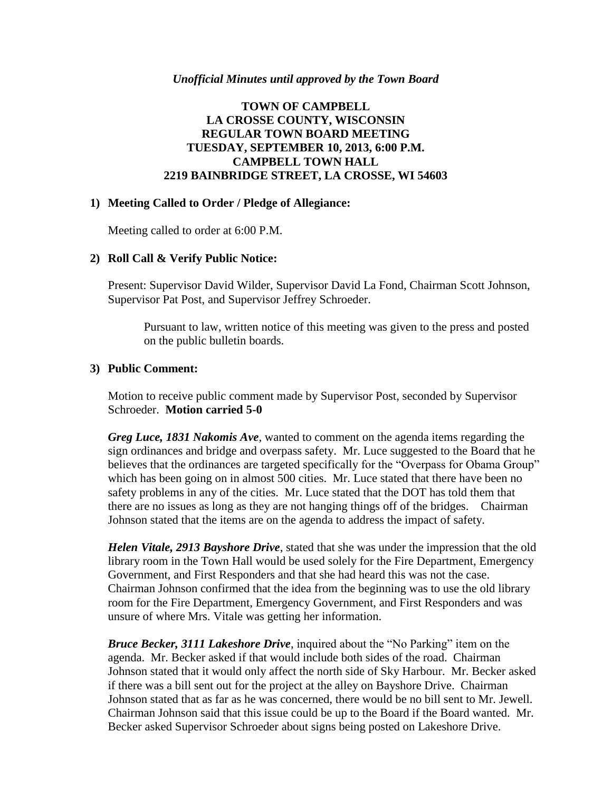#### *Unofficial Minutes until approved by the Town Board*

# **TOWN OF CAMPBELL LA CROSSE COUNTY, WISCONSIN REGULAR TOWN BOARD MEETING TUESDAY, SEPTEMBER 10, 2013, 6:00 P.M. CAMPBELL TOWN HALL 2219 BAINBRIDGE STREET, LA CROSSE, WI 54603**

### **1) Meeting Called to Order / Pledge of Allegiance:**

Meeting called to order at 6:00 P.M.

#### **2) Roll Call & Verify Public Notice:**

Present: Supervisor David Wilder, Supervisor David La Fond, Chairman Scott Johnson, Supervisor Pat Post, and Supervisor Jeffrey Schroeder.

Pursuant to law, written notice of this meeting was given to the press and posted on the public bulletin boards.

### **3) Public Comment:**

Motion to receive public comment made by Supervisor Post, seconded by Supervisor Schroeder. **Motion carried 5-0**

*Greg Luce, 1831 Nakomis Ave*, wanted to comment on the agenda items regarding the sign ordinances and bridge and overpass safety. Mr. Luce suggested to the Board that he believes that the ordinances are targeted specifically for the "Overpass for Obama Group" which has been going on in almost 500 cities. Mr. Luce stated that there have been no safety problems in any of the cities. Mr. Luce stated that the DOT has told them that there are no issues as long as they are not hanging things off of the bridges. Chairman Johnson stated that the items are on the agenda to address the impact of safety.

*Helen Vitale, 2913 Bayshore Drive*, stated that she was under the impression that the old library room in the Town Hall would be used solely for the Fire Department, Emergency Government, and First Responders and that she had heard this was not the case. Chairman Johnson confirmed that the idea from the beginning was to use the old library room for the Fire Department, Emergency Government, and First Responders and was unsure of where Mrs. Vitale was getting her information.

*Bruce Becker, 3111 Lakeshore Drive*, inquired about the "No Parking" item on the agenda. Mr. Becker asked if that would include both sides of the road. Chairman Johnson stated that it would only affect the north side of Sky Harbour. Mr. Becker asked if there was a bill sent out for the project at the alley on Bayshore Drive. Chairman Johnson stated that as far as he was concerned, there would be no bill sent to Mr. Jewell. Chairman Johnson said that this issue could be up to the Board if the Board wanted. Mr. Becker asked Supervisor Schroeder about signs being posted on Lakeshore Drive.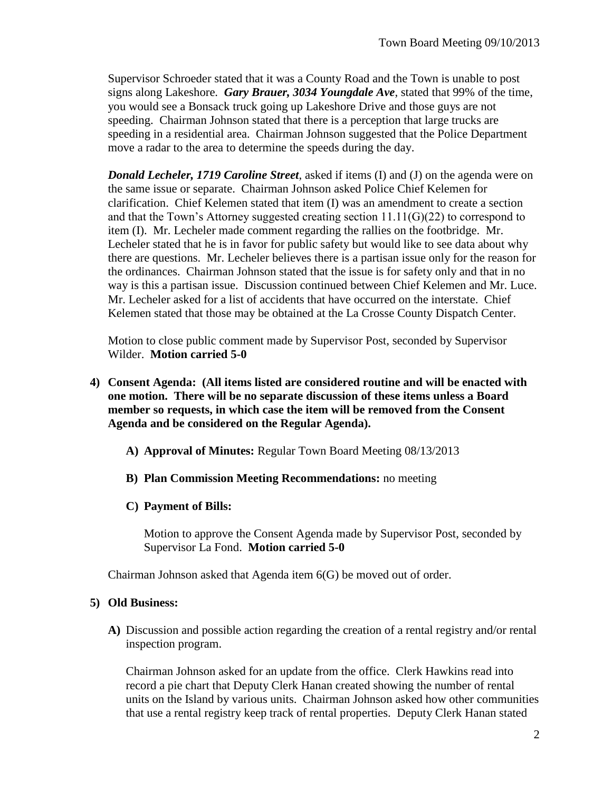Supervisor Schroeder stated that it was a County Road and the Town is unable to post signs along Lakeshore. *Gary Brauer, 3034 Youngdale Ave*, stated that 99% of the time, you would see a Bonsack truck going up Lakeshore Drive and those guys are not speeding. Chairman Johnson stated that there is a perception that large trucks are speeding in a residential area. Chairman Johnson suggested that the Police Department move a radar to the area to determine the speeds during the day.

*Donald Lecheler, 1719 Caroline Street*, asked if items (I) and (J) on the agenda were on the same issue or separate. Chairman Johnson asked Police Chief Kelemen for clarification. Chief Kelemen stated that item (I) was an amendment to create a section and that the Town's Attorney suggested creating section 11.11(G)(22) to correspond to item (I). Mr. Lecheler made comment regarding the rallies on the footbridge. Mr. Lecheler stated that he is in favor for public safety but would like to see data about why there are questions. Mr. Lecheler believes there is a partisan issue only for the reason for the ordinances. Chairman Johnson stated that the issue is for safety only and that in no way is this a partisan issue. Discussion continued between Chief Kelemen and Mr. Luce. Mr. Lecheler asked for a list of accidents that have occurred on the interstate. Chief Kelemen stated that those may be obtained at the La Crosse County Dispatch Center.

Motion to close public comment made by Supervisor Post, seconded by Supervisor Wilder. **Motion carried 5-0**

- **4) Consent Agenda: (All items listed are considered routine and will be enacted with one motion. There will be no separate discussion of these items unless a Board member so requests, in which case the item will be removed from the Consent Agenda and be considered on the Regular Agenda).**
	- **A) Approval of Minutes:** Regular Town Board Meeting 08/13/2013
	- **B) Plan Commission Meeting Recommendations:** no meeting

# **C) Payment of Bills:**

Motion to approve the Consent Agenda made by Supervisor Post, seconded by Supervisor La Fond. **Motion carried 5-0**

Chairman Johnson asked that Agenda item 6(G) be moved out of order.

### **5) Old Business:**

**A)** Discussion and possible action regarding the creation of a rental registry and/or rental inspection program.

Chairman Johnson asked for an update from the office. Clerk Hawkins read into record a pie chart that Deputy Clerk Hanan created showing the number of rental units on the Island by various units. Chairman Johnson asked how other communities that use a rental registry keep track of rental properties. Deputy Clerk Hanan stated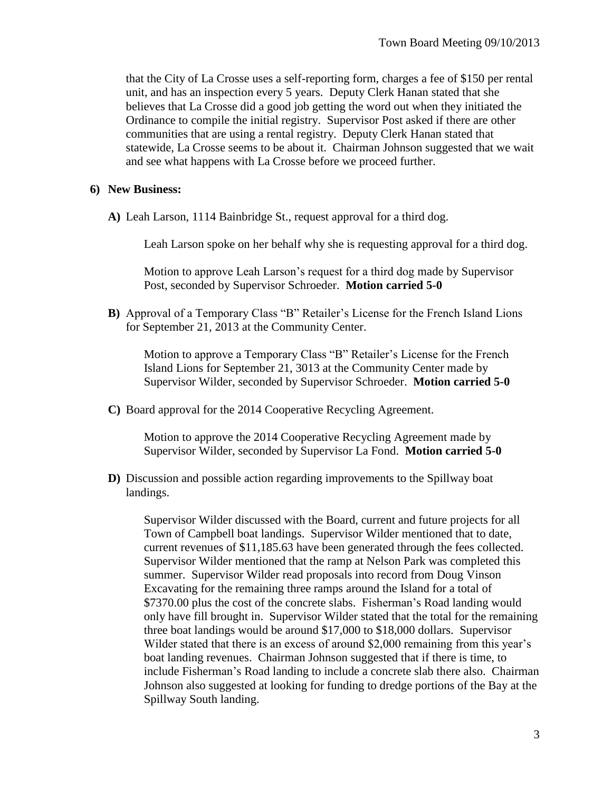that the City of La Crosse uses a self-reporting form, charges a fee of \$150 per rental unit, and has an inspection every 5 years. Deputy Clerk Hanan stated that she believes that La Crosse did a good job getting the word out when they initiated the Ordinance to compile the initial registry. Supervisor Post asked if there are other communities that are using a rental registry. Deputy Clerk Hanan stated that statewide, La Crosse seems to be about it. Chairman Johnson suggested that we wait and see what happens with La Crosse before we proceed further.

#### **6) New Business:**

**A)** Leah Larson, 1114 Bainbridge St., request approval for a third dog.

Leah Larson spoke on her behalf why she is requesting approval for a third dog.

Motion to approve Leah Larson's request for a third dog made by Supervisor Post, seconded by Supervisor Schroeder. **Motion carried 5-0**

**B)** Approval of a Temporary Class "B" Retailer's License for the French Island Lions for September 21, 2013 at the Community Center.

Motion to approve a Temporary Class "B" Retailer's License for the French Island Lions for September 21, 3013 at the Community Center made by Supervisor Wilder, seconded by Supervisor Schroeder. **Motion carried 5-0**

**C)** Board approval for the 2014 Cooperative Recycling Agreement.

Motion to approve the 2014 Cooperative Recycling Agreement made by Supervisor Wilder, seconded by Supervisor La Fond. **Motion carried 5-0**

**D)** Discussion and possible action regarding improvements to the Spillway boat landings.

Supervisor Wilder discussed with the Board, current and future projects for all Town of Campbell boat landings. Supervisor Wilder mentioned that to date, current revenues of \$11,185.63 have been generated through the fees collected. Supervisor Wilder mentioned that the ramp at Nelson Park was completed this summer. Supervisor Wilder read proposals into record from Doug Vinson Excavating for the remaining three ramps around the Island for a total of \$7370.00 plus the cost of the concrete slabs. Fisherman's Road landing would only have fill brought in. Supervisor Wilder stated that the total for the remaining three boat landings would be around \$17,000 to \$18,000 dollars. Supervisor Wilder stated that there is an excess of around \$2,000 remaining from this year's boat landing revenues. Chairman Johnson suggested that if there is time, to include Fisherman's Road landing to include a concrete slab there also. Chairman Johnson also suggested at looking for funding to dredge portions of the Bay at the Spillway South landing.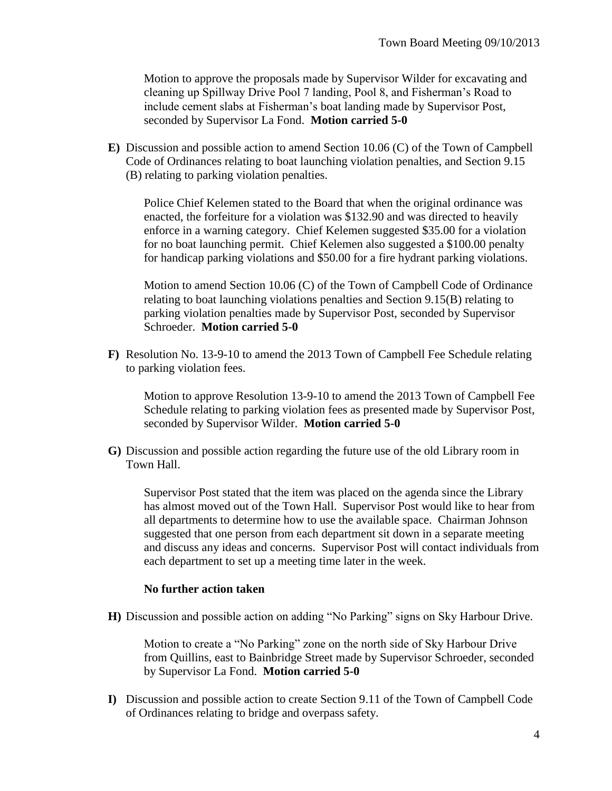Motion to approve the proposals made by Supervisor Wilder for excavating and cleaning up Spillway Drive Pool 7 landing, Pool 8, and Fisherman's Road to include cement slabs at Fisherman's boat landing made by Supervisor Post, seconded by Supervisor La Fond. **Motion carried 5-0**

**E)** Discussion and possible action to amend Section 10.06 (C) of the Town of Campbell Code of Ordinances relating to boat launching violation penalties, and Section 9.15 (B) relating to parking violation penalties.

Police Chief Kelemen stated to the Board that when the original ordinance was enacted, the forfeiture for a violation was \$132.90 and was directed to heavily enforce in a warning category. Chief Kelemen suggested \$35.00 for a violation for no boat launching permit. Chief Kelemen also suggested a \$100.00 penalty for handicap parking violations and \$50.00 for a fire hydrant parking violations.

Motion to amend Section 10.06 (C) of the Town of Campbell Code of Ordinance relating to boat launching violations penalties and Section 9.15(B) relating to parking violation penalties made by Supervisor Post, seconded by Supervisor Schroeder. **Motion carried 5-0**

**F)** Resolution No. 13-9-10 to amend the 2013 Town of Campbell Fee Schedule relating to parking violation fees.

Motion to approve Resolution 13-9-10 to amend the 2013 Town of Campbell Fee Schedule relating to parking violation fees as presented made by Supervisor Post, seconded by Supervisor Wilder. **Motion carried 5-0**

**G)** Discussion and possible action regarding the future use of the old Library room in Town Hall.

Supervisor Post stated that the item was placed on the agenda since the Library has almost moved out of the Town Hall. Supervisor Post would like to hear from all departments to determine how to use the available space. Chairman Johnson suggested that one person from each department sit down in a separate meeting and discuss any ideas and concerns. Supervisor Post will contact individuals from each department to set up a meeting time later in the week.

### **No further action taken**

**H)** Discussion and possible action on adding "No Parking" signs on Sky Harbour Drive.

Motion to create a "No Parking" zone on the north side of Sky Harbour Drive from Quillins, east to Bainbridge Street made by Supervisor Schroeder, seconded by Supervisor La Fond. **Motion carried 5-0**

**I)** Discussion and possible action to create Section 9.11 of the Town of Campbell Code of Ordinances relating to bridge and overpass safety.